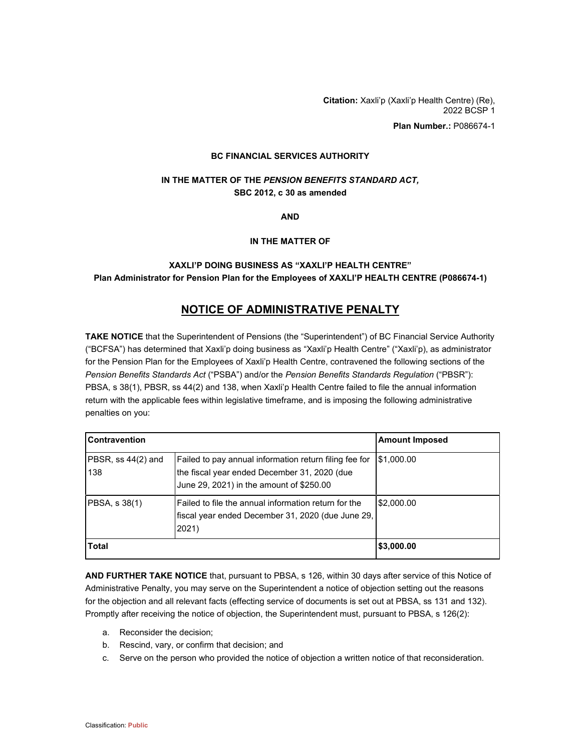**Citation:** Xaxli'p (Xaxli'p Health Centre) (Re), 2022 BCSP 1

**Plan Number.:** P086674-1

#### **BC FINANCIAL SERVICES AUTHORITY**

### **IN THE MATTER OF THE** *PENSION BENEFITS STANDARD ACT,* **SBC 2012, c 30 as amended**

**AND**

#### **IN THE MATTER OF**

## **XAXLI'P DOING BUSINESS AS "XAXLI'P HEALTH CENTRE" Plan Administrator for Pension Plan for the Employees of XAXLI'P HEALTH CENTRE (P086674-1)**

# **NOTICE OF ADMINISTRATIVE PENALTY**

**TAKE NOTICE** that the Superintendent of Pensions (the "Superintendent") of BC Financial Service Authority ("BCFSA") has determined that Xaxli'p doing business as "Xaxli'p Health Centre" ("Xaxli'p), as administrator for the Pension Plan for the Employees of Xaxli'p Health Centre, contravened the following sections of the *Pension Benefits Standards Act* ("PSBA") and/or the *Pension Benefits Standards Regulation* ("PBSR"): PBSA, s 38(1), PBSR, ss 44(2) and 138, when Xaxli'p Health Centre failed to file the annual information return with the applicable fees within legislative timeframe, and is imposing the following administrative penalties on you:

| <b>Contravention</b>      |                                                                                                                                                    | <b>Amount Imposed</b> |
|---------------------------|----------------------------------------------------------------------------------------------------------------------------------------------------|-----------------------|
| PBSR, ss 44(2) and<br>138 | Failed to pay annual information return filing fee for<br>the fiscal year ended December 31, 2020 (due<br>June 29, 2021) in the amount of \$250.00 | \$1,000.00            |
| PBSA, s 38(1)             | Failed to file the annual information return for the<br>fiscal year ended December 31, 2020 (due June 29,<br>2021)                                 | \$2,000.00            |
| <b>Total</b>              |                                                                                                                                                    | \$3,000.00            |

**AND FURTHER TAKE NOTICE** that, pursuant to PBSA, s 126, within 30 days after service of this Notice of Administrative Penalty, you may serve on the Superintendent a notice of objection setting out the reasons for the objection and all relevant facts (effecting service of documents is set out at PBSA, ss 131 and 132). Promptly after receiving the notice of objection, the Superintendent must, pursuant to PBSA, s 126(2):

- a. Reconsider the decision;
- b. Rescind, vary, or confirm that decision; and
- c. Serve on the person who provided the notice of objection a written notice of that reconsideration.